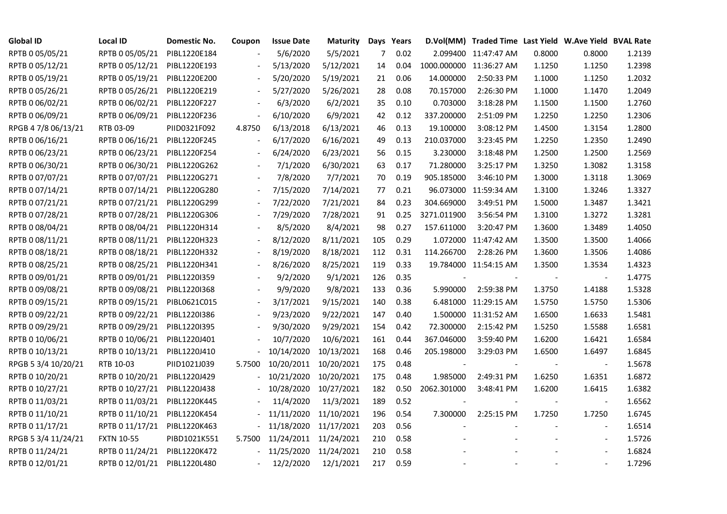| <b>Global ID</b>    | <b>Local ID</b>   | Domestic No. | Coupon                   | <b>Issue Date</b> | <b>Maturity</b>       |                | Days Years |                          | D.Vol(MM) Traded Time Last Yield W.Ave Yield BVAL Rate |        |                          |        |
|---------------------|-------------------|--------------|--------------------------|-------------------|-----------------------|----------------|------------|--------------------------|--------------------------------------------------------|--------|--------------------------|--------|
| RPTB 0 05/05/21     | RPTB 0 05/05/21   | PIBL1220E184 |                          | 5/6/2020          | 5/5/2021              | $\overline{7}$ | 0.02       |                          | 2.099400 11:47:47 AM                                   | 0.8000 | 0.8000                   | 1.2139 |
| RPTB 0 05/12/21     | RPTB 0 05/12/21   | PIBL1220E193 |                          | 5/13/2020         | 5/12/2021             | 14             | 0.04       |                          | 1000.000000 11:36:27 AM                                | 1.1250 | 1.1250                   | 1.2398 |
| RPTB 0 05/19/21     | RPTB 0 05/19/21   | PIBL1220E200 | $\overline{\phantom{a}}$ | 5/20/2020         | 5/19/2021             | 21             | 0.06       | 14.000000                | 2:50:33 PM                                             | 1.1000 | 1.1250                   | 1.2032 |
| RPTB 0 05/26/21     | RPTB 0 05/26/21   | PIBL1220E219 | $\blacksquare$           | 5/27/2020         | 5/26/2021             | 28             | 0.08       | 70.157000                | 2:26:30 PM                                             | 1.1000 | 1.1470                   | 1.2049 |
| RPTB 0 06/02/21     | RPTB 0 06/02/21   | PIBL1220F227 |                          | 6/3/2020          | 6/2/2021              | 35             | 0.10       | 0.703000                 | 3:18:28 PM                                             | 1.1500 | 1.1500                   | 1.2760 |
| RPTB 0 06/09/21     | RPTB 0 06/09/21   | PIBL1220F236 | $\overline{\phantom{a}}$ | 6/10/2020         | 6/9/2021              | 42             | 0.12       | 337.200000               | 2:51:09 PM                                             | 1.2250 | 1.2250                   | 1.2306 |
| RPGB 4 7/8 06/13/21 | RTB 03-09         | PIID0321F092 | 4.8750                   | 6/13/2018         | 6/13/2021             | 46             | 0.13       | 19.100000                | 3:08:12 PM                                             | 1.4500 | 1.3154                   | 1.2800 |
| RPTB 0 06/16/21     | RPTB 0 06/16/21   | PIBL1220F245 |                          | 6/17/2020         | 6/16/2021             | 49             | 0.13       | 210.037000               | 3:23:45 PM                                             | 1.2250 | 1.2350                   | 1.2490 |
| RPTB 0 06/23/21     | RPTB 0 06/23/21   | PIBL1220F254 |                          | 6/24/2020         | 6/23/2021             | 56             | 0.15       | 3.230000                 | 3:18:48 PM                                             | 1.2500 | 1.2500                   | 1.2569 |
| RPTB 0 06/30/21     | RPTB 0 06/30/21   | PIBL1220G262 | $\overline{\phantom{a}}$ | 7/1/2020          | 6/30/2021             | 63             | 0.17       | 71.280000                | 3:25:17 PM                                             | 1.3250 | 1.3082                   | 1.3158 |
| RPTB 0 07/07/21     | RPTB 0 07/07/21   | PIBL1220G271 | $\overline{\phantom{a}}$ | 7/8/2020          | 7/7/2021              | 70             | 0.19       | 905.185000               | 3:46:10 PM                                             | 1.3000 | 1.3118                   | 1.3069 |
| RPTB 0 07/14/21     | RPTB 0 07/14/21   | PIBL1220G280 | $\overline{\phantom{a}}$ | 7/15/2020         | 7/14/2021             | 77             | 0.21       |                          | 96.073000 11:59:34 AM                                  | 1.3100 | 1.3246                   | 1.3327 |
| RPTB 0 07/21/21     | RPTB 0 07/21/21   | PIBL1220G299 |                          | 7/22/2020         | 7/21/2021             | 84             | 0.23       | 304.669000               | 3:49:51 PM                                             | 1.5000 | 1.3487                   | 1.3421 |
| RPTB 0 07/28/21     | RPTB 0 07/28/21   | PIBL1220G306 | $\overline{\phantom{a}}$ | 7/29/2020         | 7/28/2021             | 91             | 0.25       | 3271.011900              | 3:56:54 PM                                             | 1.3100 | 1.3272                   | 1.3281 |
| RPTB 0 08/04/21     | RPTB 0 08/04/21   | PIBL1220H314 |                          | 8/5/2020          | 8/4/2021              | 98             | 0.27       | 157.611000               | 3:20:47 PM                                             | 1.3600 | 1.3489                   | 1.4050 |
| RPTB 0 08/11/21     | RPTB 0 08/11/21   | PIBL1220H323 |                          | 8/12/2020         | 8/11/2021             | 105            | 0.29       |                          | 1.072000 11:47:42 AM                                   | 1.3500 | 1.3500                   | 1.4066 |
| RPTB 0 08/18/21     | RPTB 0 08/18/21   | PIBL1220H332 |                          | 8/19/2020         | 8/18/2021             | 112            | 0.31       | 114.266700               | 2:28:26 PM                                             | 1.3600 | 1.3506                   | 1.4086 |
| RPTB 0 08/25/21     | RPTB 0 08/25/21   | PIBL1220H341 | $\blacksquare$           | 8/26/2020         | 8/25/2021             | 119            | 0.33       |                          | 19.784000 11:54:15 AM                                  | 1.3500 | 1.3534                   | 1.4323 |
| RPTB 0 09/01/21     | RPTB 0 09/01/21   | PIBL1220I359 |                          | 9/2/2020          | 9/1/2021              | 126            | 0.35       |                          |                                                        |        |                          | 1.4775 |
| RPTB 0 09/08/21     | RPTB 0 09/08/21   | PIBL1220I368 |                          | 9/9/2020          | 9/8/2021              | 133            | 0.36       | 5.990000                 | 2:59:38 PM                                             | 1.3750 | 1.4188                   | 1.5328 |
| RPTB 0 09/15/21     | RPTB 0 09/15/21   | PIBL0621C015 | $\blacksquare$           | 3/17/2021         | 9/15/2021             | 140            | 0.38       |                          | 6.481000 11:29:15 AM                                   | 1.5750 | 1.5750                   | 1.5306 |
| RPTB 0 09/22/21     | RPTB 0 09/22/21   | PIBL1220I386 |                          | 9/23/2020         | 9/22/2021             | 147            | 0.40       |                          | 1.500000 11:31:52 AM                                   | 1.6500 | 1.6633                   | 1.5481 |
| RPTB 0 09/29/21     | RPTB 0 09/29/21   | PIBL1220I395 |                          | 9/30/2020         | 9/29/2021             | 154            | 0.42       | 72.300000                | 2:15:42 PM                                             | 1.5250 | 1.5588                   | 1.6581 |
| RPTB 0 10/06/21     | RPTB 0 10/06/21   | PIBL1220J401 |                          | 10/7/2020         | 10/6/2021             | 161            | 0.44       | 367.046000               | 3:59:40 PM                                             | 1.6200 | 1.6421                   | 1.6584 |
| RPTB 0 10/13/21     | RPTB 0 10/13/21   | PIBL1220J410 |                          | 10/14/2020        | 10/13/2021            | 168            | 0.46       | 205.198000               | 3:29:03 PM                                             | 1.6500 | 1.6497                   | 1.6845 |
| RPGB 5 3/4 10/20/21 | RTB 10-03         | PIID1021J039 | 5.7500                   | 10/20/2011        | 10/20/2021            | 175            | 0.48       |                          |                                                        |        | $\overline{\phantom{a}}$ | 1.5678 |
| RPTB 0 10/20/21     | RPTB 0 10/20/21   | PIBL1220J429 |                          | 10/21/2020        | 10/20/2021            | 175            | 0.48       | 1.985000                 | 2:49:31 PM                                             | 1.6250 | 1.6351                   | 1.6872 |
| RPTB 0 10/27/21     | RPTB 0 10/27/21   | PIBL1220J438 |                          | 10/28/2020        | 10/27/2021            | 182            | 0.50       | 2062.301000              | 3:48:41 PM                                             | 1.6200 | 1.6415                   | 1.6382 |
| RPTB 0 11/03/21     | RPTB 0 11/03/21   | PIBL1220K445 |                          | 11/4/2020         | 11/3/2021             | 189            | 0.52       | $\overline{\phantom{a}}$ |                                                        |        | $\blacksquare$           | 1.6562 |
| RPTB 0 11/10/21     | RPTB 0 11/10/21   | PIBL1220K454 |                          | 11/11/2020        | 11/10/2021            | 196            | 0.54       | 7.300000                 | 2:25:15 PM                                             | 1.7250 | 1.7250                   | 1.6745 |
| RPTB 0 11/17/21     | RPTB 0 11/17/21   | PIBL1220K463 |                          | 11/18/2020        | 11/17/2021            | 203            | 0.56       |                          |                                                        |        | $\overline{\phantom{a}}$ | 1.6514 |
| RPGB 5 3/4 11/24/21 | <b>FXTN 10-55</b> | PIBD1021K551 | 5.7500                   |                   | 11/24/2011 11/24/2021 | 210            | 0.58       |                          |                                                        |        | $\blacksquare$           | 1.5726 |
| RPTB 0 11/24/21     | RPTB 0 11/24/21   | PIBL1220K472 |                          | 11/25/2020        | 11/24/2021            | 210            | 0.58       |                          |                                                        |        |                          | 1.6824 |
| RPTB 0 12/01/21     | RPTB 0 12/01/21   | PIBL1220L480 |                          | 12/2/2020         | 12/1/2021             | 217            | 0.59       |                          |                                                        |        |                          | 1.7296 |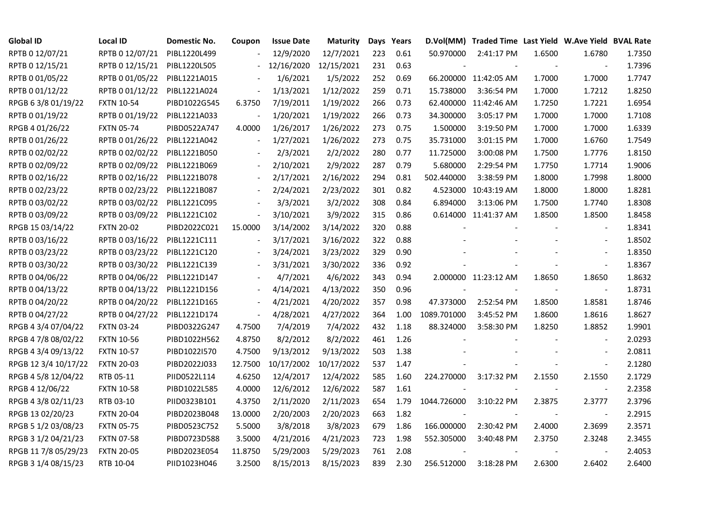| <b>Global ID</b>     | <b>Local ID</b>   | Domestic No. | Coupon                   | <b>Issue Date</b> | <b>Maturity</b> |     | Days Years |             | D.Vol(MM) Traded Time Last Yield W.Ave Yield BVAL Rate |        |                          |        |
|----------------------|-------------------|--------------|--------------------------|-------------------|-----------------|-----|------------|-------------|--------------------------------------------------------|--------|--------------------------|--------|
| RPTB 0 12/07/21      | RPTB 0 12/07/21   | PIBL1220L499 |                          | 12/9/2020         | 12/7/2021       | 223 | 0.61       | 50.970000   | 2:41:17 PM                                             | 1.6500 | 1.6780                   | 1.7350 |
| RPTB 0 12/15/21      | RPTB 0 12/15/21   | PIBL1220L505 |                          | 12/16/2020        | 12/15/2021      | 231 | 0.63       |             |                                                        |        |                          | 1.7396 |
| RPTB 0 01/05/22      | RPTB 0 01/05/22   | PIBL1221A015 |                          | 1/6/2021          | 1/5/2022        | 252 | 0.69       |             | 66.200000 11:42:05 AM                                  | 1.7000 | 1.7000                   | 1.7747 |
| RPTB 0 01/12/22      | RPTB 0 01/12/22   | PIBL1221A024 | $\blacksquare$           | 1/13/2021         | 1/12/2022       | 259 | 0.71       | 15.738000   | 3:36:54 PM                                             | 1.7000 | 1.7212                   | 1.8250 |
| RPGB 63/8 01/19/22   | <b>FXTN 10-54</b> | PIBD1022G545 | 6.3750                   | 7/19/2011         | 1/19/2022       | 266 | 0.73       |             | 62.400000 11:42:46 AM                                  | 1.7250 | 1.7221                   | 1.6954 |
| RPTB 0 01/19/22      | RPTB 0 01/19/22   | PIBL1221A033 |                          | 1/20/2021         | 1/19/2022       | 266 | 0.73       | 34.300000   | 3:05:17 PM                                             | 1.7000 | 1.7000                   | 1.7108 |
| RPGB 4 01/26/22      | <b>FXTN 05-74</b> | PIBD0522A747 | 4.0000                   | 1/26/2017         | 1/26/2022       | 273 | 0.75       | 1.500000    | 3:19:50 PM                                             | 1.7000 | 1.7000                   | 1.6339 |
| RPTB 0 01/26/22      | RPTB 0 01/26/22   | PIBL1221A042 | $\overline{\phantom{a}}$ | 1/27/2021         | 1/26/2022       | 273 | 0.75       | 35.731000   | 3:01:15 PM                                             | 1.7000 | 1.6760                   | 1.7549 |
| RPTB 0 02/02/22      | RPTB 0 02/02/22   | PIBL1221B050 |                          | 2/3/2021          | 2/2/2022        | 280 | 0.77       | 11.725000   | 3:00:08 PM                                             | 1.7500 | 1.7776                   | 1.8150 |
| RPTB 0 02/09/22      | RPTB 0 02/09/22   | PIBL1221B069 |                          | 2/10/2021         | 2/9/2022        | 287 | 0.79       | 5.680000    | 2:29:54 PM                                             | 1.7750 | 1.7714                   | 1.9006 |
| RPTB 0 02/16/22      | RPTB 0 02/16/22   | PIBL1221B078 | $\overline{\phantom{a}}$ | 2/17/2021         | 2/16/2022       | 294 | 0.81       | 502.440000  | 3:38:59 PM                                             | 1.8000 | 1.7998                   | 1.8000 |
| RPTB 0 02/23/22      | RPTB 0 02/23/22   | PIBL1221B087 | $\blacksquare$           | 2/24/2021         | 2/23/2022       | 301 | 0.82       |             | 4.523000 10:43:19 AM                                   | 1.8000 | 1.8000                   | 1.8281 |
| RPTB 0 03/02/22      | RPTB 0 03/02/22   | PIBL1221C095 |                          | 3/3/2021          | 3/2/2022        | 308 | 0.84       | 6.894000    | 3:13:06 PM                                             | 1.7500 | 1.7740                   | 1.8308 |
| RPTB 0 03/09/22      | RPTB 0 03/09/22   | PIBL1221C102 | $\overline{\phantom{a}}$ | 3/10/2021         | 3/9/2022        | 315 | 0.86       |             | 0.614000 11:41:37 AM                                   | 1.8500 | 1.8500                   | 1.8458 |
| RPGB 15 03/14/22     | <b>FXTN 20-02</b> | PIBD2022C021 | 15.0000                  | 3/14/2002         | 3/14/2022       | 320 | 0.88       |             |                                                        |        | $\blacksquare$           | 1.8341 |
| RPTB 0 03/16/22      | RPTB 0 03/16/22   | PIBL1221C111 |                          | 3/17/2021         | 3/16/2022       | 322 | 0.88       |             |                                                        |        |                          | 1.8502 |
| RPTB 0 03/23/22      | RPTB 0 03/23/22   | PIBL1221C120 |                          | 3/24/2021         | 3/23/2022       | 329 | 0.90       |             |                                                        |        | $\overline{\phantom{a}}$ | 1.8350 |
| RPTB 0 03/30/22      | RPTB 0 03/30/22   | PIBL1221C139 | $\blacksquare$           | 3/31/2021         | 3/30/2022       | 336 | 0.92       |             |                                                        |        | $\overline{\phantom{a}}$ | 1.8367 |
| RPTB 0 04/06/22      | RPTB 0 04/06/22   | PIBL1221D147 |                          | 4/7/2021          | 4/6/2022        | 343 | 0.94       |             | 2.000000 11:23:12 AM                                   | 1.8650 | 1.8650                   | 1.8632 |
| RPTB 0 04/13/22      | RPTB 0 04/13/22   | PIBL1221D156 |                          | 4/14/2021         | 4/13/2022       | 350 | 0.96       |             |                                                        |        |                          | 1.8731 |
| RPTB 0 04/20/22      | RPTB 0 04/20/22   | PIBL1221D165 | $\blacksquare$           | 4/21/2021         | 4/20/2022       | 357 | 0.98       | 47.373000   | 2:52:54 PM                                             | 1.8500 | 1.8581                   | 1.8746 |
| RPTB 0 04/27/22      | RPTB 0 04/27/22   | PIBL1221D174 | $\overline{\phantom{a}}$ | 4/28/2021         | 4/27/2022       | 364 | 1.00       | 1089.701000 | 3:45:52 PM                                             | 1.8600 | 1.8616                   | 1.8627 |
| RPGB 4 3/4 07/04/22  | <b>FXTN 03-24</b> | PIBD0322G247 | 4.7500                   | 7/4/2019          | 7/4/2022        | 432 | 1.18       | 88.324000   | 3:58:30 PM                                             | 1.8250 | 1.8852                   | 1.9901 |
| RPGB 4 7/8 08/02/22  | <b>FXTN 10-56</b> | PIBD1022H562 | 4.8750                   | 8/2/2012          | 8/2/2022        | 461 | 1.26       |             |                                                        |        |                          | 2.0293 |
| RPGB 4 3/4 09/13/22  | <b>FXTN 10-57</b> | PIBD1022I570 | 4.7500                   | 9/13/2012         | 9/13/2022       | 503 | 1.38       |             |                                                        |        | $\blacksquare$           | 2.0811 |
| RPGB 12 3/4 10/17/22 | <b>FXTN 20-03</b> | PIBD2022J033 | 12.7500                  | 10/17/2002        | 10/17/2022      | 537 | 1.47       |             |                                                        |        | $\blacksquare$           | 2.1280 |
| RPGB 4 5/8 12/04/22  | RTB 05-11         | PIID0522L114 | 4.6250                   | 12/4/2017         | 12/4/2022       | 585 | 1.60       | 224.270000  | 3:17:32 PM                                             | 2.1550 | 2.1550                   | 2.1729 |
| RPGB 4 12/06/22      | <b>FXTN 10-58</b> | PIBD1022L585 | 4.0000                   | 12/6/2012         | 12/6/2022       | 587 | 1.61       |             |                                                        |        | $\blacksquare$           | 2.2358 |
| RPGB 4 3/8 02/11/23  | RTB 03-10         | PIID0323B101 | 4.3750                   | 2/11/2020         | 2/11/2023       | 654 | 1.79       | 1044.726000 | 3:10:22 PM                                             | 2.3875 | 2.3777                   | 2.3796 |
| RPGB 13 02/20/23     | <b>FXTN 20-04</b> | PIBD2023B048 | 13.0000                  | 2/20/2003         | 2/20/2023       | 663 | 1.82       |             |                                                        |        | $\overline{\phantom{a}}$ | 2.2915 |
| RPGB 5 1/2 03/08/23  | <b>FXTN 05-75</b> | PIBD0523C752 | 5.5000                   | 3/8/2018          | 3/8/2023        | 679 | 1.86       | 166.000000  | 2:30:42 PM                                             | 2.4000 | 2.3699                   | 2.3571 |
| RPGB 3 1/2 04/21/23  | <b>FXTN 07-58</b> | PIBD0723D588 | 3.5000                   | 4/21/2016         | 4/21/2023       | 723 | 1.98       | 552.305000  | 3:40:48 PM                                             | 2.3750 | 2.3248                   | 2.3455 |
| RPGB 11 7/8 05/29/23 | <b>FXTN 20-05</b> | PIBD2023E054 | 11.8750                  | 5/29/2003         | 5/29/2023       | 761 | 2.08       |             |                                                        |        |                          | 2.4053 |
| RPGB 3 1/4 08/15/23  | RTB 10-04         | PIID1023H046 | 3.2500                   | 8/15/2013         | 8/15/2023       | 839 | 2.30       | 256.512000  | 3:18:28 PM                                             | 2.6300 | 2.6402                   | 2.6400 |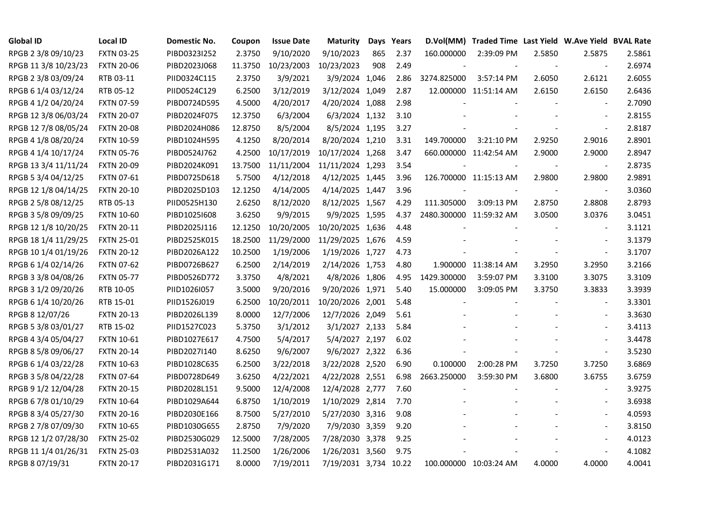| <b>Global ID</b>     | <b>Local ID</b>   | Domestic No. | Coupon  | <b>Issue Date</b> | <b>Maturity</b>       |     | Days Years |                         | D.Vol(MM) Traded Time Last Yield W.Ave Yield BVAL Rate |                |                          |        |
|----------------------|-------------------|--------------|---------|-------------------|-----------------------|-----|------------|-------------------------|--------------------------------------------------------|----------------|--------------------------|--------|
| RPGB 2 3/8 09/10/23  | <b>FXTN 03-25</b> | PIBD0323I252 | 2.3750  | 9/10/2020         | 9/10/2023             | 865 | 2.37       | 160.000000              | 2:39:09 PM                                             | 2.5850         | 2.5875                   | 2.5861 |
| RPGB 11 3/8 10/23/23 | <b>FXTN 20-06</b> | PIBD2023J068 | 11.3750 | 10/23/2003        | 10/23/2023            | 908 | 2.49       |                         |                                                        | $\overline{a}$ | $\sim$                   | 2.6974 |
| RPGB 2 3/8 03/09/24  | RTB 03-11         | PIID0324C115 | 2.3750  | 3/9/2021          | 3/9/2024 1,046        |     | 2.86       | 3274.825000             | 3:57:14 PM                                             | 2.6050         | 2.6121                   | 2.6055 |
| RPGB 6 1/4 03/12/24  | RTB 05-12         | PIID0524C129 | 6.2500  | 3/12/2019         | 3/12/2024 1,049       |     | 2.87       |                         | 12.000000 11:51:14 AM                                  | 2.6150         | 2.6150                   | 2.6436 |
| RPGB 4 1/2 04/20/24  | <b>FXTN 07-59</b> | PIBD0724D595 | 4.5000  | 4/20/2017         | 4/20/2024 1,088       |     | 2.98       |                         |                                                        |                | $\blacksquare$           | 2.7090 |
| RPGB 12 3/8 06/03/24 | <b>FXTN 20-07</b> | PIBD2024F075 | 12.3750 | 6/3/2004          | 6/3/2024 1,132        |     | 3.10       |                         |                                                        |                | $\sim$                   | 2.8155 |
| RPGB 12 7/8 08/05/24 | <b>FXTN 20-08</b> | PIBD2024H086 | 12.8750 | 8/5/2004          | 8/5/2024 1,195        |     | 3.27       |                         |                                                        |                | $\overline{\phantom{a}}$ | 2.8187 |
| RPGB 4 1/8 08/20/24  | <b>FXTN 10-59</b> | PIBD1024H595 | 4.1250  | 8/20/2014         | 8/20/2024 1,210       |     | 3.31       | 149.700000              | 3:21:10 PM                                             | 2.9250         | 2.9016                   | 2.8901 |
| RPGB 4 1/4 10/17/24  | <b>FXTN 05-76</b> | PIBD0524J762 | 4.2500  | 10/17/2019        | 10/17/2024 1,268      |     | 3.47       |                         | 660.000000 11:42:54 AM                                 | 2.9000         | 2.9000                   | 2.8947 |
| RPGB 13 3/4 11/11/24 | <b>FXTN 20-09</b> | PIBD2024K091 | 13.7500 | 11/11/2004        | 11/11/2024 1,293      |     | 3.54       |                         |                                                        |                | $\overline{\phantom{a}}$ | 2.8735 |
| RPGB 5 3/4 04/12/25  | FXTN 07-61        | PIBD0725D618 | 5.7500  | 4/12/2018         | 4/12/2025 1,445       |     | 3.96       |                         | 126.700000 11:15:13 AM                                 | 2.9800         | 2.9800                   | 2.9891 |
| RPGB 12 1/8 04/14/25 | <b>FXTN 20-10</b> | PIBD2025D103 | 12.1250 | 4/14/2005         | 4/14/2025 1,447       |     | 3.96       |                         |                                                        |                | $\blacksquare$           | 3.0360 |
| RPGB 2 5/8 08/12/25  | RTB 05-13         | PIID0525H130 | 2.6250  | 8/12/2020         | 8/12/2025 1,567       |     | 4.29       | 111.305000              | 3:09:13 PM                                             | 2.8750         | 2.8808                   | 2.8793 |
| RPGB 3 5/8 09/09/25  | <b>FXTN 10-60</b> | PIBD10251608 | 3.6250  | 9/9/2015          | 9/9/2025 1,595        |     | 4.37       | 2480.300000 11:59:32 AM |                                                        | 3.0500         | 3.0376                   | 3.0451 |
| RPGB 12 1/8 10/20/25 | <b>FXTN 20-11</b> | PIBD2025J116 | 12.1250 | 10/20/2005        | 10/20/2025 1,636      |     | 4.48       |                         |                                                        |                |                          | 3.1121 |
| RPGB 18 1/4 11/29/25 | <b>FXTN 25-01</b> | PIBD2525K015 | 18.2500 | 11/29/2000        | 11/29/2025 1,676      |     | 4.59       |                         |                                                        |                | $\sim$                   | 3.1379 |
| RPGB 10 1/4 01/19/26 | <b>FXTN 20-12</b> | PIBD2026A122 | 10.2500 | 1/19/2006         | 1/19/2026 1,727       |     | 4.73       |                         |                                                        |                | $\blacksquare$           | 3.1707 |
| RPGB 6 1/4 02/14/26  | <b>FXTN 07-62</b> | PIBD0726B627 | 6.2500  | 2/14/2019         | 2/14/2026 1,753       |     | 4.80       |                         | 1.900000 11:38:14 AM                                   | 3.2950         | 3.2950                   | 3.2166 |
| RPGB 3 3/8 04/08/26  | <b>FXTN 05-77</b> | PIBD0526D772 | 3.3750  | 4/8/2021          | 4/8/2026 1,806        |     | 4.95       | 1429.300000             | 3:59:07 PM                                             | 3.3100         | 3.3075                   | 3.3109 |
| RPGB 3 1/2 09/20/26  | RTB 10-05         | PIID1026I057 | 3.5000  | 9/20/2016         | 9/20/2026 1,971       |     | 5.40       | 15.000000               | 3:09:05 PM                                             | 3.3750         | 3.3833                   | 3.3939 |
| RPGB 6 1/4 10/20/26  | RTB 15-01         | PIID1526J019 | 6.2500  | 10/20/2011        | 10/20/2026 2,001      |     | 5.48       |                         |                                                        |                | $\blacksquare$           | 3.3301 |
| RPGB 8 12/07/26      | <b>FXTN 20-13</b> | PIBD2026L139 | 8.0000  | 12/7/2006         | 12/7/2026 2,049       |     | 5.61       |                         |                                                        |                | $\overline{\phantom{a}}$ | 3.3630 |
| RPGB 5 3/8 03/01/27  | RTB 15-02         | PIID1527C023 | 5.3750  | 3/1/2012          | 3/1/2027 2,133        |     | 5.84       |                         |                                                        |                |                          | 3.4113 |
| RPGB 4 3/4 05/04/27  | <b>FXTN 10-61</b> | PIBD1027E617 | 4.7500  | 5/4/2017          | 5/4/2027 2,197        |     | 6.02       |                         |                                                        |                | $\overline{\phantom{a}}$ | 3.4478 |
| RPGB 8 5/8 09/06/27  | <b>FXTN 20-14</b> | PIBD2027I140 | 8.6250  | 9/6/2007          | 9/6/2027 2,322        |     | 6.36       |                         |                                                        |                | $\blacksquare$           | 3.5230 |
| RPGB 6 1/4 03/22/28  | <b>FXTN 10-63</b> | PIBD1028C635 | 6.2500  | 3/22/2018         | 3/22/2028 2,520       |     | 6.90       | 0.100000                | 2:00:28 PM                                             | 3.7250         | 3.7250                   | 3.6869 |
| RPGB 3 5/8 04/22/28  | <b>FXTN 07-64</b> | PIBD0728D649 | 3.6250  | 4/22/2021         | 4/22/2028 2,551       |     | 6.98       | 2663.250000             | 3:59:30 PM                                             | 3.6800         | 3.6755                   | 3.6759 |
| RPGB 9 1/2 12/04/28  | <b>FXTN 20-15</b> | PIBD2028L151 | 9.5000  | 12/4/2008         | 12/4/2028 2,777       |     | 7.60       |                         |                                                        |                | $\overline{\phantom{a}}$ | 3.9275 |
| RPGB 67/8 01/10/29   | <b>FXTN 10-64</b> | PIBD1029A644 | 6.8750  | 1/10/2019         | 1/10/2029 2,814       |     | 7.70       |                         |                                                        |                | $\mathbf{r}$             | 3.6938 |
| RPGB 8 3/4 05/27/30  | <b>FXTN 20-16</b> | PIBD2030E166 | 8.7500  | 5/27/2010         | 5/27/2030 3,316       |     | 9.08       |                         |                                                        |                |                          | 4.0593 |
| RPGB 2 7/8 07/09/30  | <b>FXTN 10-65</b> | PIBD1030G655 | 2.8750  | 7/9/2020          | 7/9/2030 3,359        |     | 9.20       |                         |                                                        |                | $\sim$                   | 3.8150 |
| RPGB 12 1/2 07/28/30 | <b>FXTN 25-02</b> | PIBD2530G029 | 12.5000 | 7/28/2005         | 7/28/2030 3,378       |     | 9.25       |                         |                                                        |                | $\sim$                   | 4.0123 |
| RPGB 11 1/4 01/26/31 | <b>FXTN 25-03</b> | PIBD2531A032 | 11.2500 | 1/26/2006         | 1/26/2031 3,560       |     | 9.75       |                         |                                                        |                | $\overline{\phantom{a}}$ | 4.1082 |
| RPGB 8 07/19/31      | <b>FXTN 20-17</b> | PIBD2031G171 | 8.0000  | 7/19/2011         | 7/19/2031 3,734 10.22 |     |            |                         | 100.000000 10:03:24 AM                                 | 4.0000         | 4.0000                   | 4.0041 |